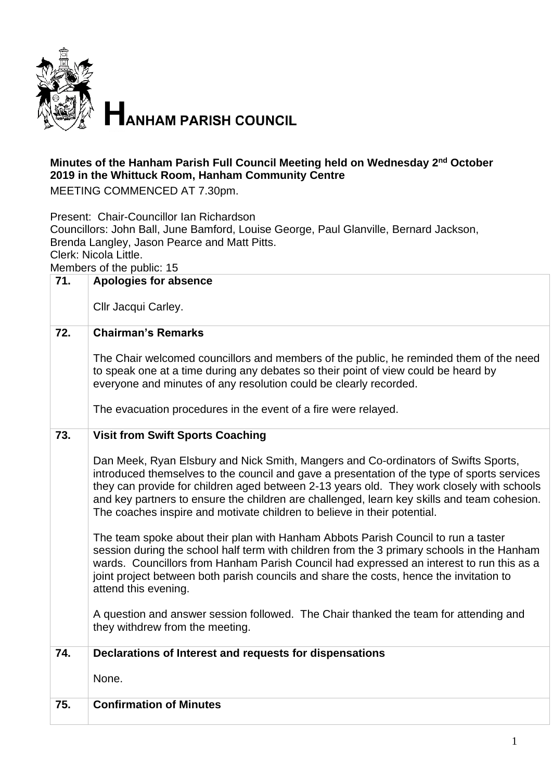

## **Minutes of the Hanham Parish Full Council Meeting held on Wednesday 2<sup>nd</sup> October 2019 in the Whittuck Room, Hanham Community Centre**

MEETING COMMENCED AT 7.30pm.

Present: Chair-Councillor Ian Richardson Councillors: John Ball, June Bamford, Louise George, Paul Glanville, Bernard Jackson, Brenda Langley, Jason Pearce and Matt Pitts. Clerk: Nicola Little.

Members of the public: 15

| 71. | <b>Apologies for absence</b>                                                                                                                                                                                                                                                                                                                                                                                                                              |
|-----|-----------------------------------------------------------------------------------------------------------------------------------------------------------------------------------------------------------------------------------------------------------------------------------------------------------------------------------------------------------------------------------------------------------------------------------------------------------|
|     | Cllr Jacqui Carley.                                                                                                                                                                                                                                                                                                                                                                                                                                       |
| 72. | <b>Chairman's Remarks</b>                                                                                                                                                                                                                                                                                                                                                                                                                                 |
|     | The Chair welcomed councillors and members of the public, he reminded them of the need<br>to speak one at a time during any debates so their point of view could be heard by<br>everyone and minutes of any resolution could be clearly recorded.                                                                                                                                                                                                         |
|     | The evacuation procedures in the event of a fire were relayed.                                                                                                                                                                                                                                                                                                                                                                                            |
| 73. | <b>Visit from Swift Sports Coaching</b>                                                                                                                                                                                                                                                                                                                                                                                                                   |
|     | Dan Meek, Ryan Elsbury and Nick Smith, Mangers and Co-ordinators of Swifts Sports,<br>introduced themselves to the council and gave a presentation of the type of sports services<br>they can provide for children aged between 2-13 years old. They work closely with schools<br>and key partners to ensure the children are challenged, learn key skills and team cohesion.<br>The coaches inspire and motivate children to believe in their potential. |
|     | The team spoke about their plan with Hanham Abbots Parish Council to run a taster<br>session during the school half term with children from the 3 primary schools in the Hanham<br>wards. Councillors from Hanham Parish Council had expressed an interest to run this as a<br>joint project between both parish councils and share the costs, hence the invitation to<br>attend this evening.                                                            |
|     | A question and answer session followed. The Chair thanked the team for attending and<br>they withdrew from the meeting.                                                                                                                                                                                                                                                                                                                                   |
| 74. | Declarations of Interest and requests for dispensations                                                                                                                                                                                                                                                                                                                                                                                                   |
|     | None.                                                                                                                                                                                                                                                                                                                                                                                                                                                     |
| 75. | <b>Confirmation of Minutes</b>                                                                                                                                                                                                                                                                                                                                                                                                                            |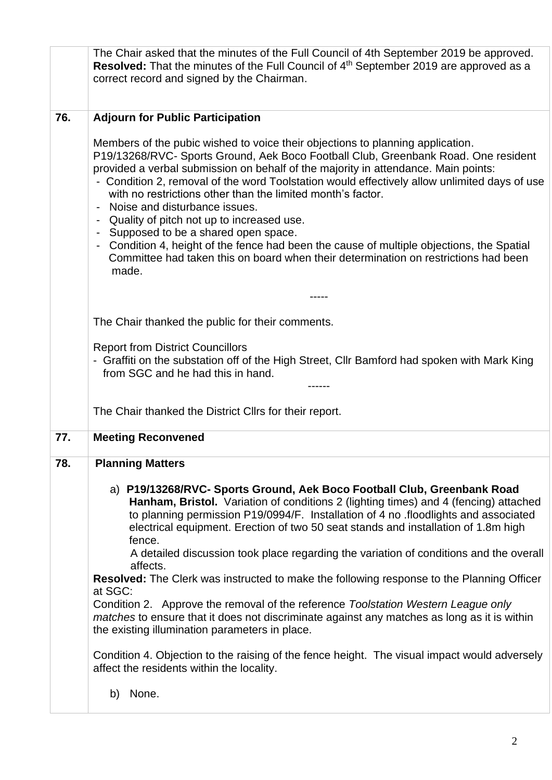|     | The Chair asked that the minutes of the Full Council of 4th September 2019 be approved.<br><b>Resolved:</b> That the minutes of the Full Council of 4 <sup>th</sup> September 2019 are approved as a<br>correct record and signed by the Chairman.                                                                                                                                                                                                                                      |
|-----|-----------------------------------------------------------------------------------------------------------------------------------------------------------------------------------------------------------------------------------------------------------------------------------------------------------------------------------------------------------------------------------------------------------------------------------------------------------------------------------------|
| 76. | <b>Adjourn for Public Participation</b>                                                                                                                                                                                                                                                                                                                                                                                                                                                 |
|     | Members of the pubic wished to voice their objections to planning application.<br>P19/13268/RVC- Sports Ground, Aek Boco Football Club, Greenbank Road. One resident<br>provided a verbal submission on behalf of the majority in attendance. Main points:<br>- Condition 2, removal of the word Toolstation would effectively allow unlimited days of use<br>with no restrictions other than the limited month's factor.<br>Noise and disturbance issues.                              |
|     | - Quality of pitch not up to increased use.                                                                                                                                                                                                                                                                                                                                                                                                                                             |
|     | - Supposed to be a shared open space.<br>- Condition 4, height of the fence had been the cause of multiple objections, the Spatial<br>Committee had taken this on board when their determination on restrictions had been<br>made.                                                                                                                                                                                                                                                      |
|     |                                                                                                                                                                                                                                                                                                                                                                                                                                                                                         |
|     | The Chair thanked the public for their comments.                                                                                                                                                                                                                                                                                                                                                                                                                                        |
|     | <b>Report from District Councillors</b><br>- Graffiti on the substation off of the High Street, Cllr Bamford had spoken with Mark King<br>from SGC and he had this in hand.                                                                                                                                                                                                                                                                                                             |
|     | The Chair thanked the District Cllrs for their report.                                                                                                                                                                                                                                                                                                                                                                                                                                  |
| 77. | <b>Meeting Reconvened</b>                                                                                                                                                                                                                                                                                                                                                                                                                                                               |
| 78. | <b>Planning Matters</b><br>a) P19/13268/RVC- Sports Ground, Aek Boco Football Club, Greenbank Road<br>Hanham, Bristol. Variation of conditions 2 (lighting times) and 4 (fencing) attached<br>to planning permission P19/0994/F. Installation of 4 no .floodlights and associated<br>electrical equipment. Erection of two 50 seat stands and installation of 1.8m high<br>fence.<br>A detailed discussion took place regarding the variation of conditions and the overall<br>affects. |
|     | <b>Resolved:</b> The Clerk was instructed to make the following response to the Planning Officer<br>at SGC:                                                                                                                                                                                                                                                                                                                                                                             |
|     | Condition 2. Approve the removal of the reference Toolstation Western League only<br><i>matches</i> to ensure that it does not discriminate against any matches as long as it is within<br>the existing illumination parameters in place.                                                                                                                                                                                                                                               |
|     | Condition 4. Objection to the raising of the fence height. The visual impact would adversely<br>affect the residents within the locality.                                                                                                                                                                                                                                                                                                                                               |
|     | None.<br>b)                                                                                                                                                                                                                                                                                                                                                                                                                                                                             |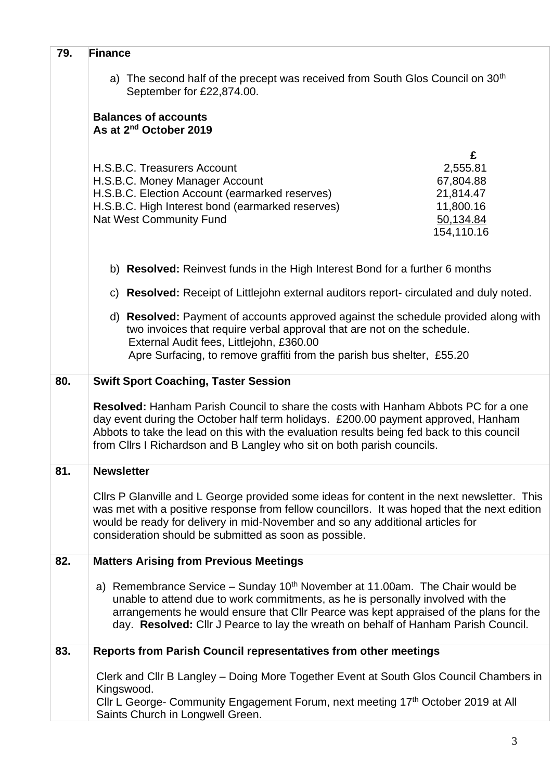| 79. |                                                                                                                                                                                                                                                                                                                                                            |
|-----|------------------------------------------------------------------------------------------------------------------------------------------------------------------------------------------------------------------------------------------------------------------------------------------------------------------------------------------------------------|
|     | <b>Finance</b>                                                                                                                                                                                                                                                                                                                                             |
|     | a) The second half of the precept was received from South Glos Council on 30 <sup>th</sup><br>September for £22,874.00.                                                                                                                                                                                                                                    |
|     | <b>Balances of accounts</b><br>As at 2 <sup>nd</sup> October 2019                                                                                                                                                                                                                                                                                          |
|     | £                                                                                                                                                                                                                                                                                                                                                          |
|     | H.S.B.C. Treasurers Account<br>2,555.81<br>67,804.88<br>H.S.B.C. Money Manager Account<br>H.S.B.C. Election Account (earmarked reserves)<br>21,814.47<br>H.S.B.C. High Interest bond (earmarked reserves)<br>11,800.16<br><b>Nat West Community Fund</b><br>50,134.84<br>154,110.16                                                                        |
|     | b) <b>Resolved:</b> Reinvest funds in the High Interest Bond for a further 6 months                                                                                                                                                                                                                                                                        |
|     | c) Resolved: Receipt of Littlejohn external auditors report- circulated and duly noted.                                                                                                                                                                                                                                                                    |
|     | d) Resolved: Payment of accounts approved against the schedule provided along with<br>two invoices that require verbal approval that are not on the schedule.<br>External Audit fees, Littlejohn, £360.00<br>Apre Surfacing, to remove graffiti from the parish bus shelter, £55.20                                                                        |
|     |                                                                                                                                                                                                                                                                                                                                                            |
| 80. | <b>Swift Sport Coaching, Taster Session</b>                                                                                                                                                                                                                                                                                                                |
|     | <b>Resolved:</b> Hanham Parish Council to share the costs with Hanham Abbots PC for a one<br>day event during the October half term holidays. £200.00 payment approved, Hanham<br>Abbots to take the lead on this with the evaluation results being fed back to this council<br>from Cllrs I Richardson and B Langley who sit on both parish councils.     |
| 81. | <b>Newsletter</b>                                                                                                                                                                                                                                                                                                                                          |
|     | Cllrs P Glanville and L George provided some ideas for content in the next newsletter. This<br>was met with a positive response from fellow councillors. It was hoped that the next edition<br>would be ready for delivery in mid-November and so any additional articles for<br>consideration should be submitted as soon as possible.                    |
| 82. | <b>Matters Arising from Previous Meetings</b>                                                                                                                                                                                                                                                                                                              |
|     | a) Remembrance Service - Sunday 10 <sup>th</sup> November at 11.00am. The Chair would be<br>unable to attend due to work commitments, as he is personally involved with the<br>arrangements he would ensure that Cllr Pearce was kept appraised of the plans for the<br>day. Resolved: Cllr J Pearce to lay the wreath on behalf of Hanham Parish Council. |
| 83. | <b>Reports from Parish Council representatives from other meetings</b>                                                                                                                                                                                                                                                                                     |
|     | Clerk and Cllr B Langley - Doing More Together Event at South Glos Council Chambers in<br>Kingswood.<br>Cllr L George- Community Engagement Forum, next meeting 17th October 2019 at All                                                                                                                                                                   |
|     | Saints Church in Longwell Green.                                                                                                                                                                                                                                                                                                                           |